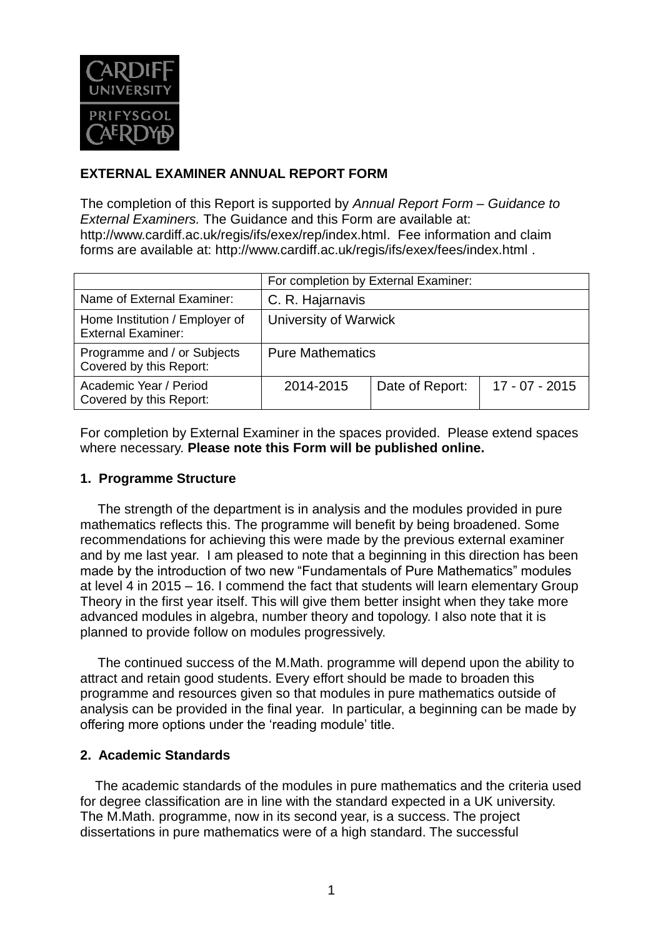

# **EXTERNAL EXAMINER ANNUAL REPORT FORM**

The completion of this Report is supported by *Annual Report Form – Guidance to External Examiners.* The Guidance and this Form are available at: [http://www.cardiff.ac.uk/regis/ifs/exex/rep/index.html.](http://www.cardiff.ac.uk/regis/ifs/exex/rep/index.html) Fee information and claim forms are available at:<http://www.cardiff.ac.uk/regis/ifs/exex/fees/index.html> .

|                                                             | For completion by External Examiner: |                 |                  |  |
|-------------------------------------------------------------|--------------------------------------|-----------------|------------------|--|
| Name of External Examiner:                                  | C. R. Hajarnavis                     |                 |                  |  |
| Home Institution / Employer of<br><b>External Examiner:</b> | University of Warwick                |                 |                  |  |
| Programme and / or Subjects<br>Covered by this Report:      | <b>Pure Mathematics</b>              |                 |                  |  |
| Academic Year / Period<br>Covered by this Report:           | 2014-2015                            | Date of Report: | $17 - 07 - 2015$ |  |

For completion by External Examiner in the spaces provided. Please extend spaces where necessary. **Please note this Form will be published online.**

#### **1. Programme Structure**

The strength of the department is in analysis and the modules provided in pure mathematics reflects this. The programme will benefit by being broadened. Some recommendations for achieving this were made by the previous external examiner and by me last year. I am pleased to note that a beginning in this direction has been made by the introduction of two new "Fundamentals of Pure Mathematics" modules at level 4 in 2015 – 16. I commend the fact that students will learn elementary Group Theory in the first year itself. This will give them better insight when they take more advanced modules in algebra, number theory and topology. I also note that it is planned to provide follow on modules progressively.

The continued success of the M.Math. programme will depend upon the ability to attract and retain good students. Every effort should be made to broaden this programme and resources given so that modules in pure mathematics outside of analysis can be provided in the final year. In particular, a beginning can be made by offering more options under the 'reading module' title.

#### **2. Academic Standards**

 The academic standards of the modules in pure mathematics and the criteria used for degree classification are in line with the standard expected in a UK university. The M.Math. programme, now in its second year, is a success. The project dissertations in pure mathematics were of a high standard. The successful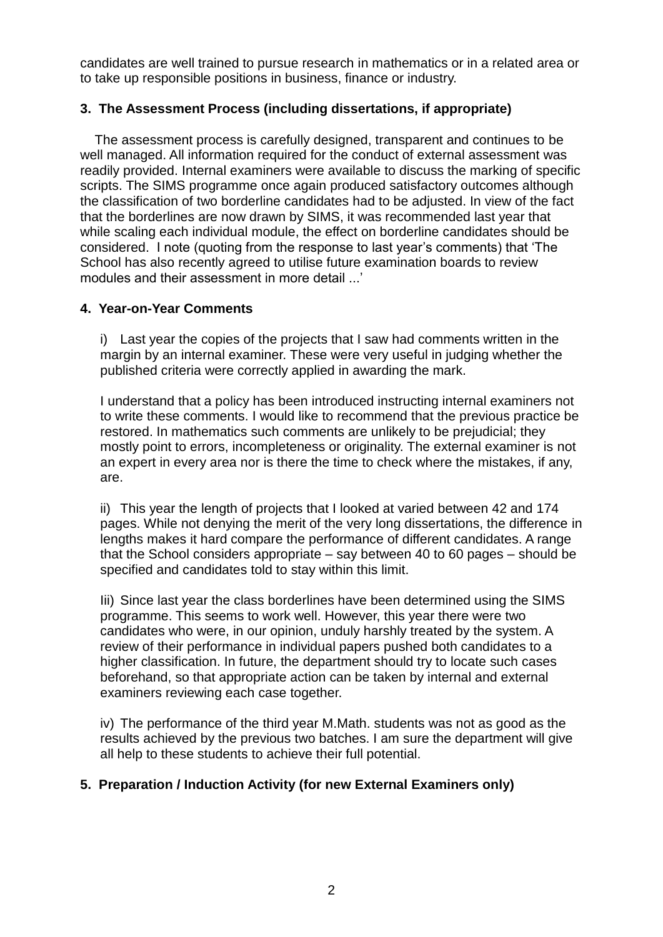candidates are well trained to pursue research in mathematics or in a related area or to take up responsible positions in business, finance or industry.

## **3. The Assessment Process (including dissertations, if appropriate)**

 The assessment process is carefully designed, transparent and continues to be well managed. All information required for the conduct of external assessment was readily provided. Internal examiners were available to discuss the marking of specific scripts. The SIMS programme once again produced satisfactory outcomes although the classification of two borderline candidates had to be adjusted. In view of the fact that the borderlines are now drawn by SIMS, it was recommended last year that while scaling each individual module, the effect on borderline candidates should be considered. I note (quoting from the response to last year's comments) that 'The School has also recently agreed to utilise future examination boards to review modules and their assessment in more detail ...'

#### **4. Year-on-Year Comments**

i) Last year the copies of the projects that I saw had comments written in the margin by an internal examiner. These were very useful in judging whether the published criteria were correctly applied in awarding the mark.

I understand that a policy has been introduced instructing internal examiners not to write these comments. I would like to recommend that the previous practice be restored. In mathematics such comments are unlikely to be prejudicial; they mostly point to errors, incompleteness or originality. The external examiner is not an expert in every area nor is there the time to check where the mistakes, if any, are.

ii) This year the length of projects that I looked at varied between 42 and 174 pages. While not denying the merit of the very long dissertations, the difference in lengths makes it hard compare the performance of different candidates. A range that the School considers appropriate – say between 40 to 60 pages – should be specified and candidates told to stay within this limit.

Iii) Since last year the class borderlines have been determined using the SIMS programme. This seems to work well. However, this year there were two candidates who were, in our opinion, unduly harshly treated by the system. A review of their performance in individual papers pushed both candidates to a higher classification. In future, the department should try to locate such cases beforehand, so that appropriate action can be taken by internal and external examiners reviewing each case together.

iv) The performance of the third year M.Math. students was not as good as the results achieved by the previous two batches. I am sure the department will give all help to these students to achieve their full potential.

# **5. Preparation / Induction Activity (for new External Examiners only)**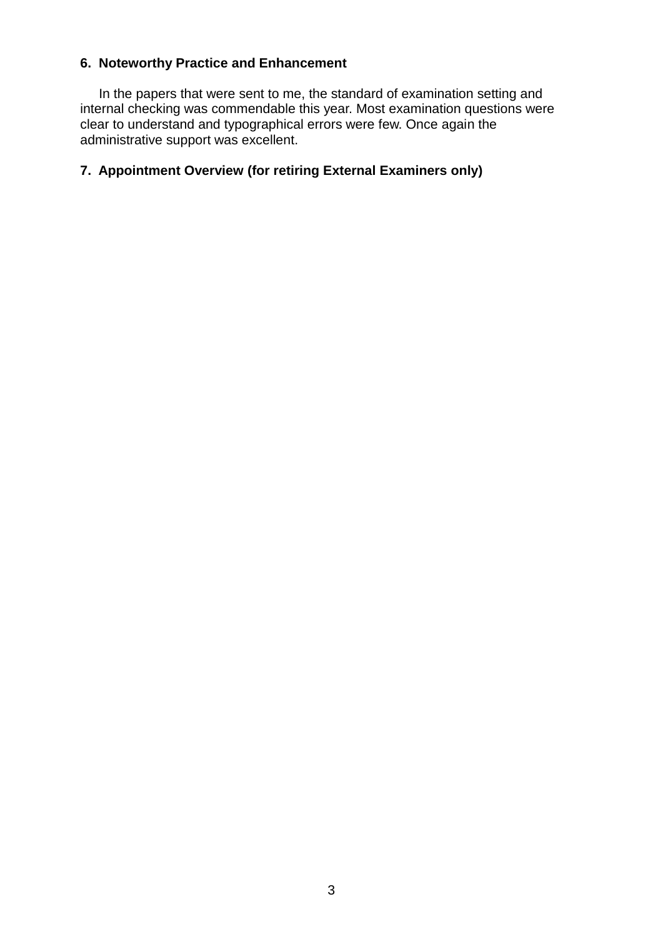# **6. Noteworthy Practice and Enhancement**

 In the papers that were sent to me, the standard of examination setting and internal checking was commendable this year. Most examination questions were clear to understand and typographical errors were few. Once again the administrative support was excellent.

# **7. Appointment Overview (for retiring External Examiners only)**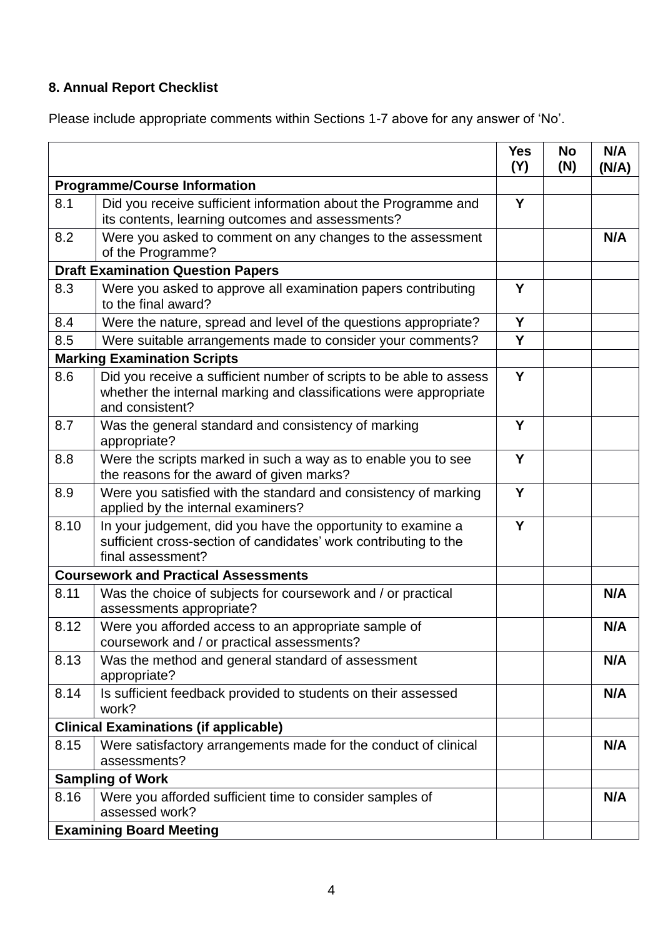# **8. Annual Report Checklist**

Please include appropriate comments within Sections 1-7 above for any answer of 'No'.

|                                              |                                                                                                                                                             | <b>Yes</b><br>(Y) | <b>No</b><br>(N) | N/A<br>(N/A) |
|----------------------------------------------|-------------------------------------------------------------------------------------------------------------------------------------------------------------|-------------------|------------------|--------------|
| <b>Programme/Course Information</b>          |                                                                                                                                                             |                   |                  |              |
| 8.1                                          | Did you receive sufficient information about the Programme and<br>its contents, learning outcomes and assessments?                                          | Y                 |                  |              |
| 8.2                                          | Were you asked to comment on any changes to the assessment<br>of the Programme?                                                                             |                   |                  | N/A          |
| <b>Draft Examination Question Papers</b>     |                                                                                                                                                             |                   |                  |              |
| 8.3                                          | Were you asked to approve all examination papers contributing<br>to the final award?                                                                        | Y                 |                  |              |
| 8.4                                          | Were the nature, spread and level of the questions appropriate?                                                                                             | Y                 |                  |              |
| 8.5                                          | Were suitable arrangements made to consider your comments?                                                                                                  | Y                 |                  |              |
|                                              | <b>Marking Examination Scripts</b>                                                                                                                          |                   |                  |              |
| 8.6                                          | Did you receive a sufficient number of scripts to be able to assess<br>whether the internal marking and classifications were appropriate<br>and consistent? | Y                 |                  |              |
| 8.7                                          | Was the general standard and consistency of marking<br>appropriate?                                                                                         | Y                 |                  |              |
| 8.8                                          | Were the scripts marked in such a way as to enable you to see<br>the reasons for the award of given marks?                                                  | Y                 |                  |              |
| 8.9                                          | Were you satisfied with the standard and consistency of marking<br>applied by the internal examiners?                                                       | Y                 |                  |              |
| 8.10                                         | In your judgement, did you have the opportunity to examine a<br>sufficient cross-section of candidates' work contributing to the<br>final assessment?       | Y                 |                  |              |
| <b>Coursework and Practical Assessments</b>  |                                                                                                                                                             |                   |                  |              |
| 8.11                                         | Was the choice of subjects for coursework and / or practical<br>assessments appropriate?                                                                    |                   |                  | N/A          |
| 8.12                                         | Were you afforded access to an appropriate sample of<br>coursework and / or practical assessments?                                                          |                   |                  | N/A          |
| 8.13                                         | Was the method and general standard of assessment<br>appropriate?                                                                                           |                   |                  | N/A          |
| 8.14                                         | Is sufficient feedback provided to students on their assessed<br>work?                                                                                      |                   |                  | N/A          |
| <b>Clinical Examinations (if applicable)</b> |                                                                                                                                                             |                   |                  |              |
| 8.15                                         | Were satisfactory arrangements made for the conduct of clinical<br>assessments?                                                                             |                   |                  | N/A          |
| <b>Sampling of Work</b>                      |                                                                                                                                                             |                   |                  |              |
| 8.16                                         | Were you afforded sufficient time to consider samples of<br>assessed work?                                                                                  |                   |                  | N/A          |
|                                              | <b>Examining Board Meeting</b>                                                                                                                              |                   |                  |              |